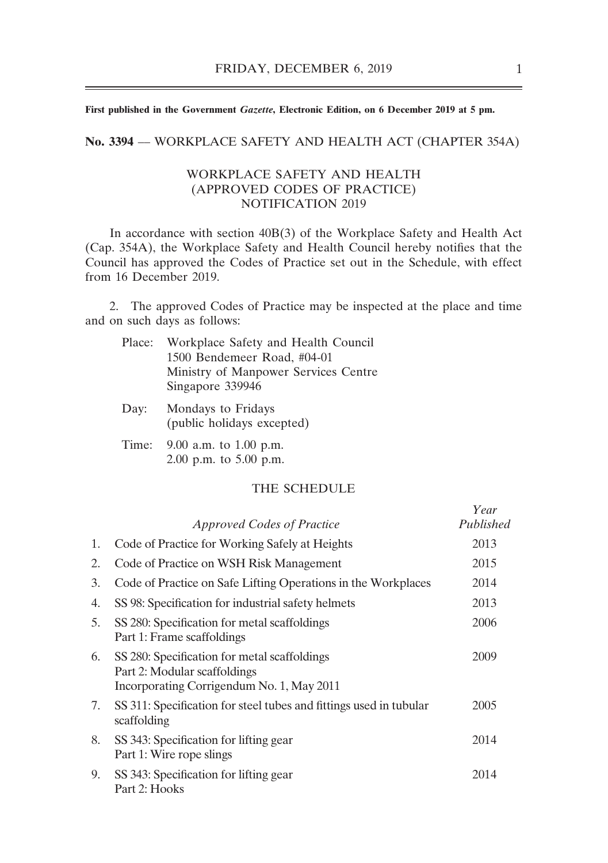**First published in the Government** *Gazette***, Electronic Edition, on 6 December 2019 at 5 pm.**

**No. 3394** –– WORKPLACE SAFETY AND HEALTH ACT (CHAPTER 354A)

#### WORKPLACE SAFETY AND HEALTH (APPROVED CODES OF PRACTICE) NOTIFICATION 2019

In accordance with section 40B(3) of the Workplace Safety and Health Act (Cap. 354A), the Workplace Safety and Health Council hereby notifies that the Council has approved the Codes of Practice set out in the Schedule, with effect from 16 December 2019.

2. The approved Codes of Practice may be inspected at the place and time and on such days as follows:

| Place:     | Workplace Safety and Health Council<br>1500 Bendemeer Road, #04-01<br>Ministry of Manpower Services Centre<br>Singapore 339946 |
|------------|--------------------------------------------------------------------------------------------------------------------------------|
| Day:       | Mondays to Fridays<br>(public holidays excepted)                                                                               |
| $T_{im}$ . | $0.00cm \text{ m}$ to $1.00cm \text{ m}$                                                                                       |

Time: 9.00 a.m. to 1.00 p.m. 2.00 p.m. to 5.00 p.m.

#### THE SCHEDULE

|    |                                                                                                                           | Year      |
|----|---------------------------------------------------------------------------------------------------------------------------|-----------|
|    | <i>Approved Codes of Practice</i>                                                                                         | Published |
| 1. | Code of Practice for Working Safely at Heights                                                                            | 2013      |
| 2. | Code of Practice on WSH Risk Management                                                                                   | 2015      |
| 3. | Code of Practice on Safe Lifting Operations in the Workplaces                                                             | 2014      |
| 4. | SS 98: Specification for industrial safety helmets                                                                        | 2013      |
| 5. | SS 280: Specification for metal scaffoldings<br>Part 1: Frame scaffoldings                                                | 2006      |
| 6. | SS 280: Specification for metal scaffoldings<br>Part 2: Modular scaffoldings<br>Incorporating Corrigendum No. 1, May 2011 | 2009      |
| 7. | SS 311: Specification for steel tubes and fittings used in tubular<br>scaffolding                                         | 2005      |
| 8. | SS 343: Specification for lifting gear<br>Part 1: Wire rope slings                                                        | 2014      |
| 9. | SS 343: Specification for lifting gear<br>Part 2: Hooks                                                                   | 2014      |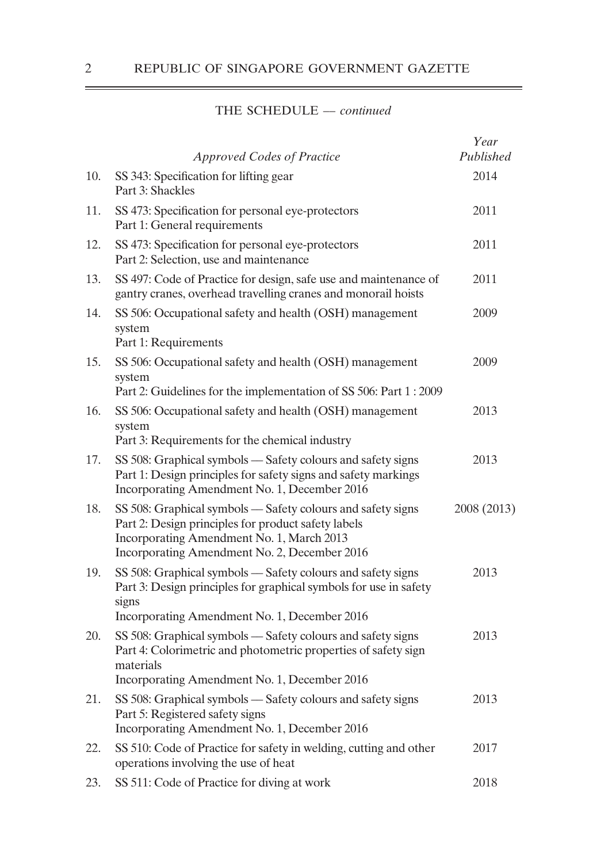|     | <b>Approved Codes of Practice</b>                                                                                                                                                                               | Year<br>Published |
|-----|-----------------------------------------------------------------------------------------------------------------------------------------------------------------------------------------------------------------|-------------------|
| 10. | SS 343: Specification for lifting gear<br>Part 3: Shackles                                                                                                                                                      | 2014              |
| 11. | SS 473: Specification for personal eye-protectors<br>Part 1: General requirements                                                                                                                               | 2011              |
| 12. | SS 473: Specification for personal eye-protectors<br>Part 2: Selection, use and maintenance                                                                                                                     | 2011              |
| 13. | SS 497: Code of Practice for design, safe use and maintenance of<br>gantry cranes, overhead travelling cranes and monorail hoists                                                                               | 2011              |
| 14. | SS 506: Occupational safety and health (OSH) management<br>system<br>Part 1: Requirements                                                                                                                       | 2009              |
| 15. | SS 506: Occupational safety and health (OSH) management<br>system<br>Part 2: Guidelines for the implementation of SS 506: Part 1:2009                                                                           | 2009              |
| 16. | SS 506: Occupational safety and health (OSH) management<br>system<br>Part 3: Requirements for the chemical industry                                                                                             | 2013              |
| 17. | SS 508: Graphical symbols — Safety colours and safety signs<br>Part 1: Design principles for safety signs and safety markings<br>Incorporating Amendment No. 1, December 2016                                   | 2013              |
| 18. | SS 508: Graphical symbols - Safety colours and safety signs<br>Part 2: Design principles for product safety labels<br>Incorporating Amendment No. 1, March 2013<br>Incorporating Amendment No. 2, December 2016 | 2008 (2013)       |
| 19. | SS 508: Graphical symbols — Safety colours and safety signs<br>Part 3: Design principles for graphical symbols for use in safety<br>signs<br>Incorporating Amendment No. 1, December 2016                       | 2013              |
| 20. | SS 508: Graphical symbols — Safety colours and safety signs<br>Part 4: Colorimetric and photometric properties of safety sign<br>materials<br>Incorporating Amendment No. 1, December 2016                      | 2013              |
| 21. | SS 508: Graphical symbols — Safety colours and safety signs<br>Part 5: Registered safety signs<br>Incorporating Amendment No. 1, December 2016                                                                  | 2013              |
| 22. | SS 510: Code of Practice for safety in welding, cutting and other<br>operations involving the use of heat                                                                                                       | 2017              |
| 23. | SS 511: Code of Practice for diving at work                                                                                                                                                                     | 2018              |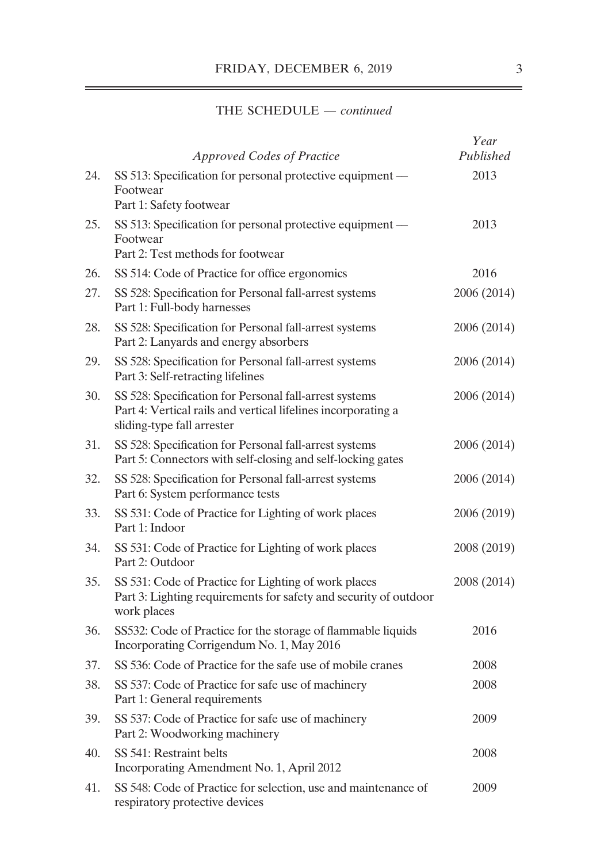|     | <b>Approved Codes of Practice</b>                                                                                                                     | Year<br>Published |
|-----|-------------------------------------------------------------------------------------------------------------------------------------------------------|-------------------|
| 24. | SS 513: Specification for personal protective equipment —<br>Footwear<br>Part 1: Safety footwear                                                      | 2013              |
| 25. | SS 513: Specification for personal protective equipment —<br>Footwear<br>Part 2: Test methods for footwear                                            | 2013              |
| 26. | SS 514: Code of Practice for office ergonomics                                                                                                        | 2016              |
| 27. | SS 528: Specification for Personal fall-arrest systems<br>Part 1: Full-body harnesses                                                                 | 2006 (2014)       |
| 28. | SS 528: Specification for Personal fall-arrest systems<br>Part 2: Lanyards and energy absorbers                                                       | 2006 (2014)       |
| 29. | SS 528: Specification for Personal fall-arrest systems<br>Part 3: Self-retracting lifelines                                                           | 2006 (2014)       |
| 30. | SS 528: Specification for Personal fall-arrest systems<br>Part 4: Vertical rails and vertical lifelines incorporating a<br>sliding-type fall arrester | 2006 (2014)       |
| 31. | SS 528: Specification for Personal fall-arrest systems<br>Part 5: Connectors with self-closing and self-locking gates                                 | 2006 (2014)       |
| 32. | SS 528: Specification for Personal fall-arrest systems<br>Part 6: System performance tests                                                            | 2006 (2014)       |
| 33. | SS 531: Code of Practice for Lighting of work places<br>Part 1: Indoor                                                                                | 2006 (2019)       |
| 34. | SS 531: Code of Practice for Lighting of work places<br>Part 2: Outdoor                                                                               | 2008 (2019)       |
| 35. | SS 531: Code of Practice for Lighting of work places<br>Part 3: Lighting requirements for safety and security of outdoor<br>work places               | 2008 (2014)       |
| 36. | SS532: Code of Practice for the storage of flammable liquids<br>Incorporating Corrigendum No. 1, May 2016                                             | 2016              |
| 37. | SS 536: Code of Practice for the safe use of mobile cranes                                                                                            | 2008              |
| 38. | SS 537: Code of Practice for safe use of machinery<br>Part 1: General requirements                                                                    | 2008              |
| 39. | SS 537: Code of Practice for safe use of machinery<br>Part 2: Woodworking machinery                                                                   | 2009              |
| 40. | SS 541: Restraint belts<br>Incorporating Amendment No. 1, April 2012                                                                                  | 2008              |
| 41. | SS 548: Code of Practice for selection, use and maintenance of<br>respiratory protective devices                                                      | 2009              |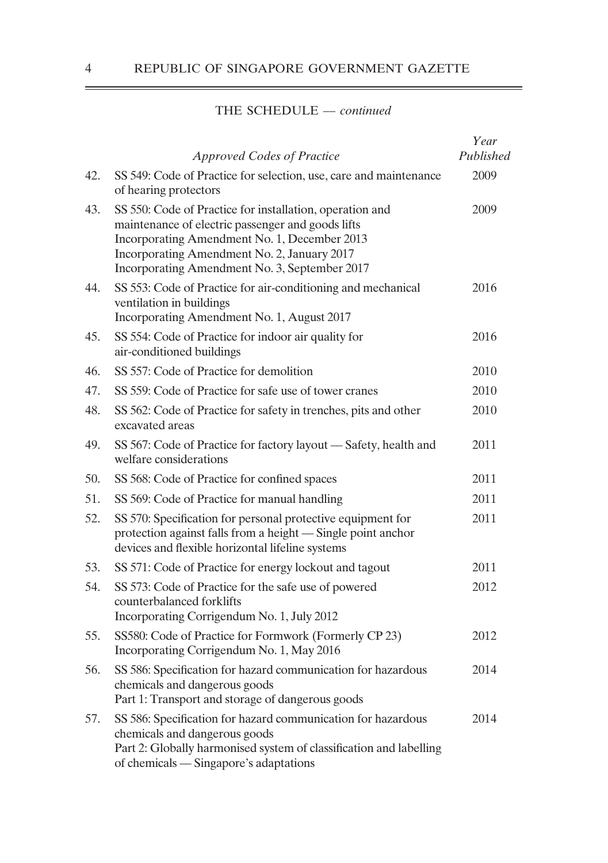|     | <b>Approved Codes of Practice</b>                                                                                                                                                                                                                             | Year<br>Published |
|-----|---------------------------------------------------------------------------------------------------------------------------------------------------------------------------------------------------------------------------------------------------------------|-------------------|
| 42. | SS 549: Code of Practice for selection, use, care and maintenance<br>of hearing protectors                                                                                                                                                                    | 2009              |
| 43. | SS 550: Code of Practice for installation, operation and<br>maintenance of electric passenger and goods lifts<br>Incorporating Amendment No. 1, December 2013<br>Incorporating Amendment No. 2, January 2017<br>Incorporating Amendment No. 3, September 2017 | 2009              |
| 44. | SS 553: Code of Practice for air-conditioning and mechanical<br>ventilation in buildings<br>Incorporating Amendment No. 1, August 2017                                                                                                                        | 2016              |
| 45. | SS 554: Code of Practice for indoor air quality for<br>air-conditioned buildings                                                                                                                                                                              | 2016              |
| 46. | SS 557: Code of Practice for demolition                                                                                                                                                                                                                       | 2010              |
| 47. | SS 559: Code of Practice for safe use of tower cranes                                                                                                                                                                                                         | 2010              |
| 48. | SS 562: Code of Practice for safety in trenches, pits and other<br>excavated areas                                                                                                                                                                            | 2010              |
| 49. | SS 567: Code of Practice for factory layout — Safety, health and<br>welfare considerations                                                                                                                                                                    | 2011              |
| 50. | SS 568: Code of Practice for confined spaces                                                                                                                                                                                                                  | 2011              |
| 51. | SS 569: Code of Practice for manual handling                                                                                                                                                                                                                  | 2011              |
| 52. | SS 570: Specification for personal protective equipment for<br>protection against falls from a height - Single point anchor<br>devices and flexible horizontal lifeline systems                                                                               | 2011              |
| 53. | SS 571: Code of Practice for energy lockout and tagout                                                                                                                                                                                                        | 2011              |
| 54. | SS 573: Code of Practice for the safe use of powered<br>counterbalanced forklifts<br>Incorporating Corrigendum No. 1, July 2012                                                                                                                               | 2012              |
| 55. | SS580: Code of Practice for Formwork (Formerly CP 23)<br>Incorporating Corrigendum No. 1, May 2016                                                                                                                                                            | 2012              |
| 56. | SS 586: Specification for hazard communication for hazardous<br>chemicals and dangerous goods<br>Part 1: Transport and storage of dangerous goods                                                                                                             | 2014              |
| 57. | SS 586: Specification for hazard communication for hazardous<br>chemicals and dangerous goods<br>Part 2: Globally harmonised system of classification and labelling<br>of chemicals — Singapore's adaptations                                                 | 2014              |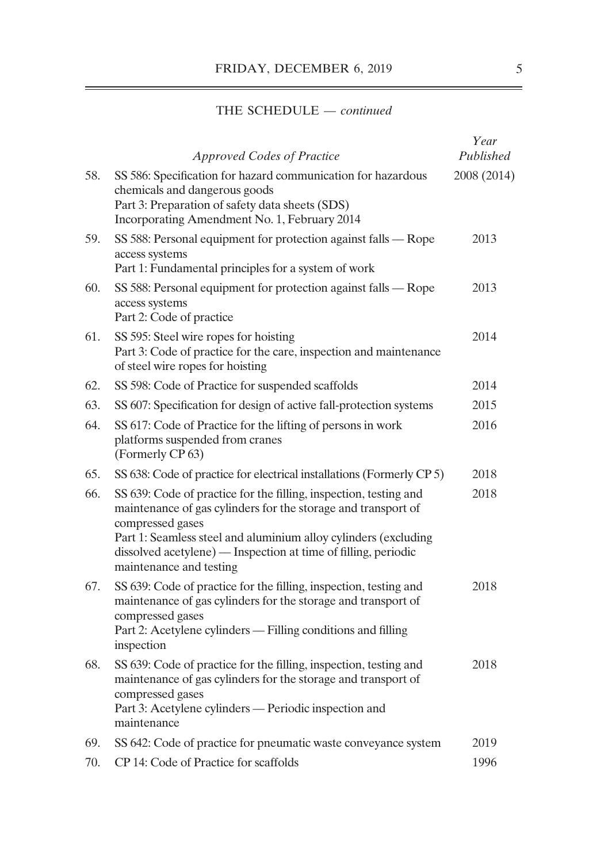|     | <b>Approved Codes of Practice</b>                                                                                                                                                                                                                                                                                      | Year<br>Published |
|-----|------------------------------------------------------------------------------------------------------------------------------------------------------------------------------------------------------------------------------------------------------------------------------------------------------------------------|-------------------|
| 58. | SS 586: Specification for hazard communication for hazardous<br>chemicals and dangerous goods<br>Part 3: Preparation of safety data sheets (SDS)<br>Incorporating Amendment No. 1, February 2014                                                                                                                       | 2008 (2014)       |
| 59. | SS 588: Personal equipment for protection against falls — Rope<br>access systems<br>Part 1: Fundamental principles for a system of work                                                                                                                                                                                | 2013              |
| 60. | SS 588: Personal equipment for protection against falls - Rope<br>access systems<br>Part 2: Code of practice                                                                                                                                                                                                           | 2013              |
| 61. | SS 595: Steel wire ropes for hoisting<br>Part 3: Code of practice for the care, inspection and maintenance<br>of steel wire ropes for hoisting                                                                                                                                                                         | 2014              |
| 62. | SS 598: Code of Practice for suspended scaffolds                                                                                                                                                                                                                                                                       | 2014              |
| 63. | SS 607: Specification for design of active fall-protection systems                                                                                                                                                                                                                                                     | 2015              |
| 64. | SS 617: Code of Practice for the lifting of persons in work<br>platforms suspended from cranes<br>(Formerly CP 63)                                                                                                                                                                                                     | 2016              |
| 65. | SS 638: Code of practice for electrical installations (Formerly CP 5)                                                                                                                                                                                                                                                  | 2018              |
| 66. | SS 639: Code of practice for the filling, inspection, testing and<br>maintenance of gas cylinders for the storage and transport of<br>compressed gases<br>Part 1: Seamless steel and aluminium alloy cylinders (excluding<br>dissolved acetylene) — Inspection at time of filling, periodic<br>maintenance and testing | 2018              |
| 67. | SS 639: Code of practice for the filling, inspection, testing and<br>maintenance of gas cylinders for the storage and transport of<br>compressed gases<br>Part 2: Acetylene cylinders — Filling conditions and filling<br>inspection                                                                                   | 2018              |
| 68. | SS 639: Code of practice for the filling, inspection, testing and<br>maintenance of gas cylinders for the storage and transport of<br>compressed gases<br>Part 3: Acetylene cylinders — Periodic inspection and<br>maintenance                                                                                         | 2018              |
| 69. | SS 642: Code of practice for pneumatic waste conveyance system                                                                                                                                                                                                                                                         | 2019              |
| 70. | CP 14: Code of Practice for scaffolds                                                                                                                                                                                                                                                                                  | 1996              |